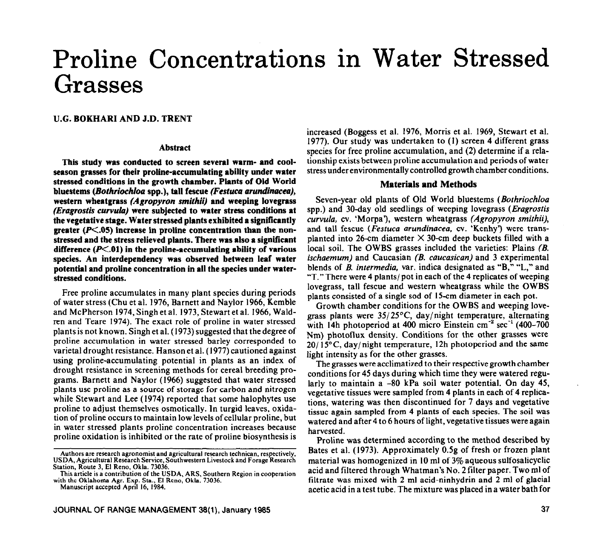# Proline Concentrations in Water Stressed Grasses

## **U.G. BOKHARI AND J.D. TRENT**

### **Abstract**

**This study was conducted to screen several warm- and coolseason grasses for their prolme-accumulating ability under water stressed conditions in the growth chamber. Plants of Old World bluestems** *(Bothriochloa* **spp.), tall fescue** *(Festuca arundinacea),*  **western wheatgrass** *(Agropyron smithii)* **and weeping lovegrass**  *(Eragrostis curvuhz)* **were subjected to water stress conditions at the vegetative stage. Water stressed plants exhibited a significantly**  greater  $(P<.05)$  increase in proline concentration than the non**stressed and the stress relieved plants. There was also a significant difference (P<.Ol) in the proline-accumulating ability of various species. An interdependency was observed between leaf water potential and proline concentration in all the species under waterstressed conditions.** 

Free proline accumulates in many plant species during periods of water stress (Chu et al. 1976, Barnett and Naylor 1966, Kemble and McPherson 1974, Singh et al. 1973, Stewart et al. 1966, Waldren and Teare 1974). The exact role of proline in water stressed plants is not known. Singh et al. (1973) suggested that the degree of proline accumulation in water stressed barley corresponded to varietal drought resistance. Hanson et al. (1977) cautioned against using proline-accumulating potential in plants as an index of drought resistance in screening methods for cereal breeding programs. Barnett and Naylor (1966) suggested that water stressed plants use proline as a source of storage for carbon and nitrogen while Stewart and Lee (1974) reported that some halophytes use proline to adjust themselves osmotically. In turgid leaves, oxidation of proline occurs to maintain low levels of cellular proline, but in water stressed plants proline concentration increases because proline oxidation is inhibited or the rate of proline biosynthesis is increased (Boggess et al. 1976, Morris et al. 1969, Stewart et al. 1977). Our study was undertaken to (I) screen 4 different grass species for free proline accumulation, and **(2)** determine if a relationship exists between proline accumulation and periods of water stress under environmentally controlled growth chamber conditions.

### **Materials and Methods**

Seven-year old plants of Old World bluestems *(Bothriochloa*  spp.) and 30-day old seedlings of weeping lovegrass (*Eragrostis curvula, cv.* 'Morpa?, western wheatgrass *(Agropyron smithii),*  and tall fescue (Festuca *arundinacea, cw.* 'Kenhy') were transplanted into 26-cm diameter  $\times$  30-cm deep buckets filled with a local soil. The OWBS grasses included the varieties: Plains (B. *ischaemum)* and Caucasian *(B. caucasican)* and 3 experimental blends of *B. intermedia,* var. indica designated as "B," "L," and "T." There were 4 plants/ pot in each of the 4 replicates of weeping lovegrass, tall fescue and western wheatgrass while the OWBS plants consisted of a single sod of 15-cm diameter in each pot.

Growth chamber conditions for the OWBS and weeping lovegrass plants were  $35/25^{\circ}$ C, day/night temperature, alternating with 14h photoperiod at 400 micro Einstein cm $^2$  sec<sup>-1</sup> (400-700) Nm) photoflux density. Conditions for the other grasses were  $20/15^{\circ}$ C, day/night temperature, 12h photoperiod and the same light intensity as for the other grasses.

The grasses were acclimatized to their respective growth chamber conditions for 45 days during which time they were watered regularly to maintain a -80 kPa soil water potential. On day 45, vegetative tissues were sampled from 4 plants in each of 4 replications, watering was then discontinued for 7 days and vegetative tissue again sampled from 4 plants of each species. The soil was watered and after 4 to 6 hours of light, vegetative tissues were again harvested.

Proline was determined according to the method described by Bates et al. (1973). Approximately 0.5g of fresh or frozen plant material was homogenized in 10 ml of 3% aqueous sulfosalicyclic acid and filtered through Whatman's No. 2 filter paper. Two ml of filtrate was mixed with 2 ml acid-ninhydrin and 2 ml of glacial acetic acid in a test tube. The mixture was placed in a water bath for

**Authors are research agronomist and agricultural research technican, respectively, USDA, Agricultural Research Service, Southwestern Livestock and Forage Research Station, Route 3, El Reno, Okla. 73036.** 

**This article is a contribution of the USDA, ARS, Southern Region in cooperation with the Oklahoma Agr. Exp. Sta., El Rena, Okla. 73036.** 

**Manuscript accepted April 16, 1984.**